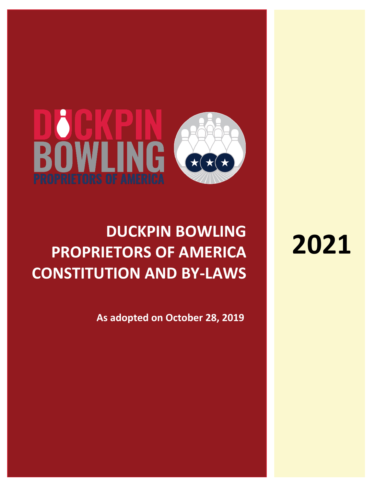# **BOWLING PROPRIETORS OF AMERICA**

## **DUCKPIN BOWLING PROPRIETORS OF AMERICA CONSTITUTION AND BY-LAWS**

**As adopted on October 28, 2019**

## **2021**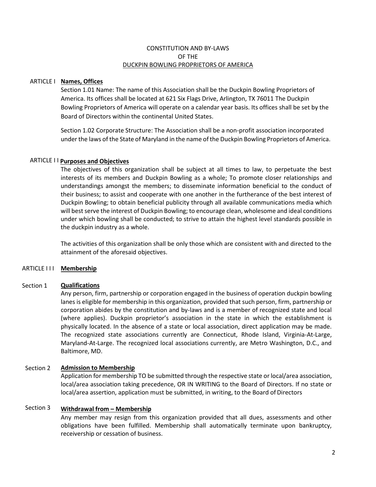#### CONSTITUTION AND BY-LAWS OF THE DUCKPIN BOWLING PROPRIETORS OF AMERICA

### ARTICLE I **Names, Offices**

Section 1.01 Name: The name of this Association shall be the Duckpin Bowling Proprietors of America. Its offices shall be located at 621 Six Flags Drive, Arlington, TX 76011 The Duckpin Bowling Proprietors of America will operate on a calendar year basis. Its offices shall be set by the Board of Directors within the continental United States.

Section 1.02 Corporate Structure: The Association shall be a non-profit association incorporated under the laws of the State of Maryland in the name ofthe Duckpin Bowling Proprietors of America.

#### ARTICLE I I **Purposes and Objectives**

The objectives of this organization shall be subject at all times to law, to perpetuate the best interests of its members and Duckpin Bowling as a whole; To promote closer relationships and understandings amongst the members; to disseminate information beneficial to the conduct of their business; to assist and cooperate with one another in the furtherance of the best interest of Duckpin Bowling; to obtain beneficial publicity through all available communications media which will best serve the interest of Duckpin Bowling; to encourage clean, wholesome and ideal conditions under which bowling shall be conducted; to strive to attain the highest level standards possible in the duckpin industry as a whole.

The activities of this organization shall be only those which are consistent with and directed to the attainment of the aforesaid objectives.

### ARTICLE I I I **Membership**

#### Section 1 **Qualifications**

Any person, firm, partnership or corporation engaged in the business of operation duckpin bowling lanes is eligible for membership in this organization, provided that such person, firm, partnership or corporation abides by the constitution and by-laws and is a member of recognized state and local (where applies). Duckpin proprietor's association in the state in which the establishment is physically located. In the absence of a state or local association, direct application may be made. The recognized state associations currently are Connecticut, Rhode Island, Virginia-At-Large, Maryland-At-Large. The recognized local associations currently, are Metro Washington, D.C., and Baltimore, MD.

#### Section 2 **Admission to Membership**

Application for membership TO be submitted through the respective state or local/area association, local/area association taking precedence, OR IN WRITING to the Board of Directors. If no state or local/area assertion, application must be submitted, in writing, to the Board of Directors

#### Section 3 **Withdrawal from – Membership**

Any member may resign from this organization provided that all dues, assessments and other obligations have been fulfilled. Membership shall automatically terminate upon bankruptcy, receivership or cessation of business.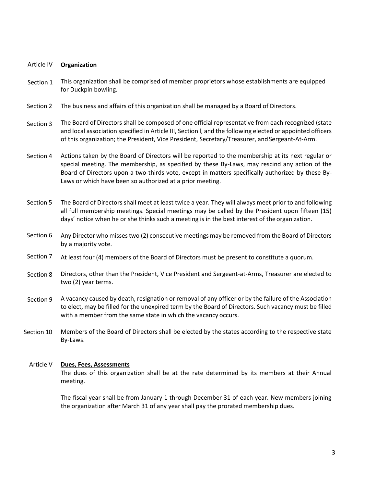#### Article IV **Organization**

- Section 1 This organization shall be comprised of member proprietors whose establishments are equipped for Duckpin bowling.
- Section 2 The business and affairs of this organization shall be managed by a Board of Directors.
- Section 3 The Board of Directors shall be composed of one official representative from each recognized (state and local association specified in Article III, Section l, and the following elected or appointed officers of this organization; the President, Vice President, Secretary/Treasurer, and Sergeant-At-Arm.
- Section 4 Actions taken by the Board of Directors will be reported to the membership at its next regular or special meeting. The membership, as specified by these By-Laws, may rescind any action of the Board of Directors upon a two-thirds vote, except in matters specifically authorized by these By-Laws or which have been so authorized at a prior meeting.
- Section 5 The Board of Directors shall meet at least twice a year. They will always meet prior to and following all full membership meetings. Special meetings may be called by the President upon fifteen (15) days' notice when he or she thinks such a meeting is in the best interest of the organization.
- Section 6 Any Director who missestwo (2) consecutive meetings may be removed from the Board of Directors by a majority vote.
- Section 7 At least four (4) members of the Board of Directors must be present to constitute a quorum.
- Section 8 Directors, other than the President, Vice President and Sergeant-at-Arms, Treasurer are elected to two (2) year terms.
- Section 9 A vacancy caused by death, resignation or removal of any officer or by the failure of the Association to elect, may be filled for the unexpired term by the Board of Directors. Such vacancy must be filled with a member from the same state in which the vacancy occurs.
- Section 10 Members of the Board of Directors shall be elected by the states according to the respective state By-Laws.

#### Article V **Dues, Fees, Assessments**

The dues of this organization shall be at the rate determined by its members at their Annual meeting.

The fiscal year shall be from January 1 through December 31 of each year. New members joining the organization after March 31 of any year shall pay the prorated membership dues.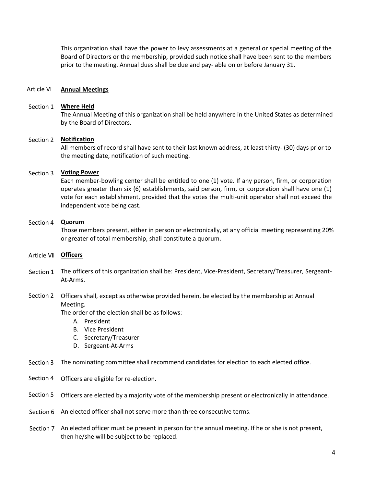This organization shall have the power to levy assessments at a general or special meeting of the Board of Directors or the membership, provided such notice shall have been sent to the members prior to the meeting. Annual dues shall be due and pay- able on or before January 31.

#### Article VI **Annual Meetings**

## Section 1 **Where Held**

The Annual Meeting of this organization shall be held anywhere in the United States as determined by the Board of Directors.

#### Section 2 **Notification**

All members of record shall have sent to their last known address, at least thirty- (30) days prior to the meeting date, notification of such meeting.

## Section 3 **Voting Power**

Each member-bowling center shall be entitled to one (1) vote. If any person, firm, or corporation operates greater than six (6) establishments, said person, firm, or corporation shall have one (1) vote for each establishment, provided that the votes the multi-unit operator shall not exceed the independent vote being cast.

### Section 4 **Quorum**

Those members present, either in person or electronically, at any official meeting representing 20% or greater of total membership, shall constitute a quorum.

- Article VII **Officers**
- Section 1 The officers of this organization shall be: President, Vice-President, Secretary/Treasurer, Sergeant-At-Arms.

## Section 2 Officers shall, except as otherwise provided herein, be elected by the membership at Annual Meeting.

The order of the election shall be as follows:

- A. President
- B. Vice President
- C. Secretary/Treasurer
- D. Sergeant-At-Arms
- Section 3 The nominating committee shall recommend candidates for election to each elected office.
- Section 4 Officers are eligible for re-election.
- Section 5 Officers are elected by a majority vote of the membership present or electronically in attendance.
- Section 6 An elected officer shall not serve more than three consecutive terms.
- Section 7 An elected officer must be present in person for the annual meeting. If he or she is not present, then he/she will be subject to be replaced.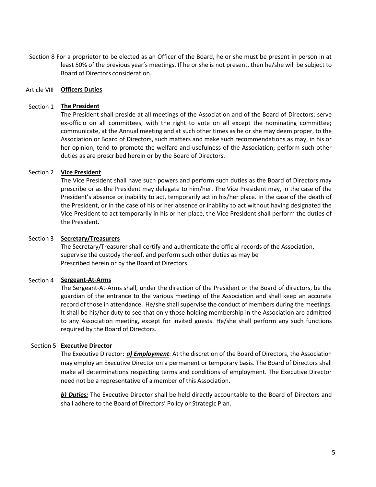Section 8 For a proprietor to be elected as an Officer of the Board, he or she must be present in person in at least 50% of the previous year's meetings. If he or she is not present, then he/she will be subject to Board of Directors consideration.

## Article VIII **Officers Duties**

## Section 1 **The President**

The President shall preside at all meetings of the Association and of the Board of Directors: serve ex-officio on all committees, with the right to vote on all except the nominating committee; communicate, at the Annual meeting and at such other times as he or she may deem proper, to the Association or Board of Directors, such matters and make such recommendations as may, in his or her opinion, tend to promote the welfare and usefulness of the Association; perform such other duties as are prescribed herein or by the Board of Directors.

#### Section 2 **Vice President**

The Vice President shall have such powers and perform such duties as the Board of Directors may prescribe or as the President may delegate to him/her. The Vice President may, in the case of the President's absence or inability to act, temporarily act in his/her place. In the case of the death of the President, or in the case of his or her absence or inability to act without having designated the Vice President to act temporarily in his or her place, the Vice President shall perform the duties of the President.

#### Section 3 **Secretary/Treasurers**

The Secretary/Treasurer shall certify and authenticate the official records of the Association, supervise the custody thereof, and perform such other duties as may be Prescribed herein or by the Board of Directors.

#### Section 4 **Sergeant-At-Arms**

The Sergeant-At-Arms shall, under the direction of the President or the Board of directors, be the guardian of the entrance to the various meetings of the Association and shall keep an accurate record of those in attendance. He/she shall supervise the conduct of members during the meetings. It shall be his/her duty to see that only those holding membership in the Association are admitted to any Association meeting, except for invited guests. He/she shall perform any such functions required by the Board of Directors.

#### Section 5 **Executive Director**

The Executive Director: *a) Employment*: At the discretion of the Board of Directors, the Association may employ an Executive Director on a permanent or temporary basis. The Board of Directors shall make all determinations respecting terms and conditions of employment. The Executive Director need not be a representative of a member of this Association.

*b) Duties:* The Executive Director shall be held directly accountable to the Board of Directors and shall adhere to the Board of Directors' Policy or Strategic Plan.